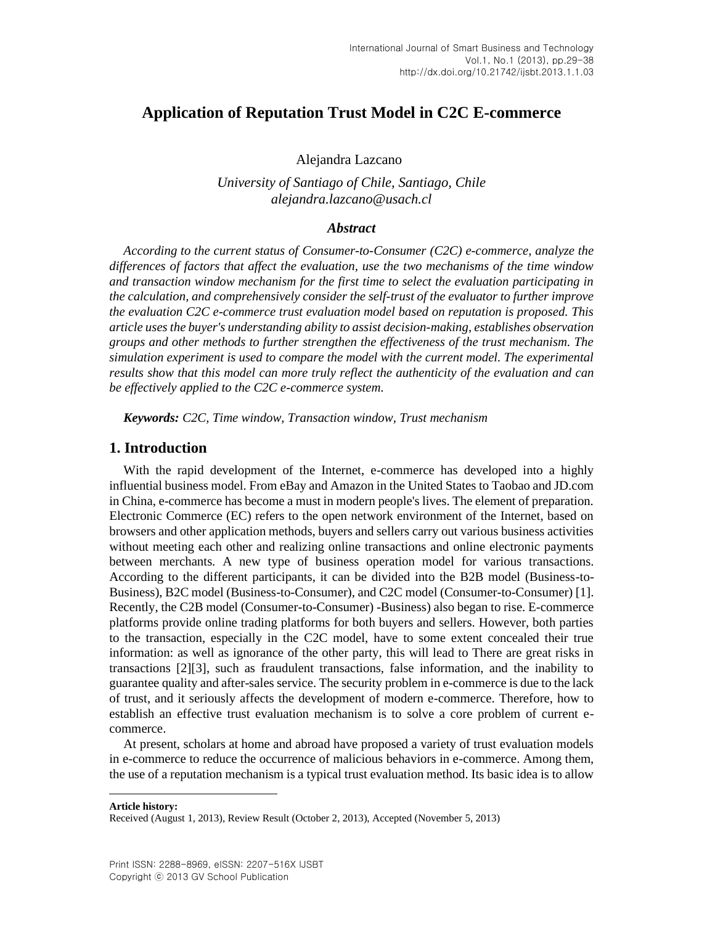# **Application of Reputation Trust Model in C2C E-commerce**

Alejandra Lazcano<sup>1</sup>

*University of Santiago of Chile, Santiago, Chile alejandra.lazcano@usach.cl*

### *Abstract*

*According to the current status of Consumer-to-Consumer (C2C) e-commerce, analyze the differences of factors that affect the evaluation, use the two mechanisms of the time window and transaction window mechanism for the first time to select the evaluation participating in the calculation, and comprehensively consider the self-trust of the evaluator to further improve the evaluation C2C e-commerce trust evaluation model based on reputation is proposed. This article uses the buyer's understanding ability to assist decision-making, establishes observation groups and other methods to further strengthen the effectiveness of the trust mechanism. The simulation experiment is used to compare the model with the current model. The experimental results show that this model can more truly reflect the authenticity of the evaluation and can be effectively applied to the C2C e-commerce system.*

*Keywords: C2C, Time window, Transaction window, Trust mechanism*

## **1. Introduction**

With the rapid development of the Internet, e-commerce has developed into a highly influential business model. From eBay and Amazon in the United States to Taobao and JD.com in China, e-commerce has become a must in modern people's lives. The element of preparation. Electronic Commerce (EC) refers to the open network environment of the Internet, based on browsers and other application methods, buyers and sellers carry out various business activities without meeting each other and realizing online transactions and online electronic payments between merchants. A new type of business operation model for various transactions. According to the different participants, it can be divided into the B2B model (Business-to-Business), B2C model (Business-to-Consumer), and C2C model (Consumer-to-Consumer) [\[1\].](#page-9-0) Recently, the C2B model (Consumer-to-Consumer) -Business) also began to rise. E-commerce platforms provide online trading platforms for both buyers and sellers. However, both parties to the transaction, especially in the C2C model, have to some extent concealed their true information: as well as ignorance of the other party, this will lead to There are great risks in transactions [\[2\]](#page-9-1)[\[3\],](#page-9-2) such as fraudulent transactions, false information, and the inability to guarantee quality and after-sales service. The security problem in e-commerce is due to the lack of trust, and it seriously affects the development of modern e-commerce. Therefore, how to establish an effective trust evaluation mechanism is to solve a core problem of current ecommerce.

At present, scholars at home and abroad have proposed a variety of trust evaluation models in e-commerce to reduce the occurrence of malicious behaviors in e-commerce. Among them, the use of a reputation mechanism is a typical trust evaluation method. Its basic idea is to allow

**Article history:**

Received (August 1, 2013), Review Result (October 2, 2013), Accepted (November 5, 2013)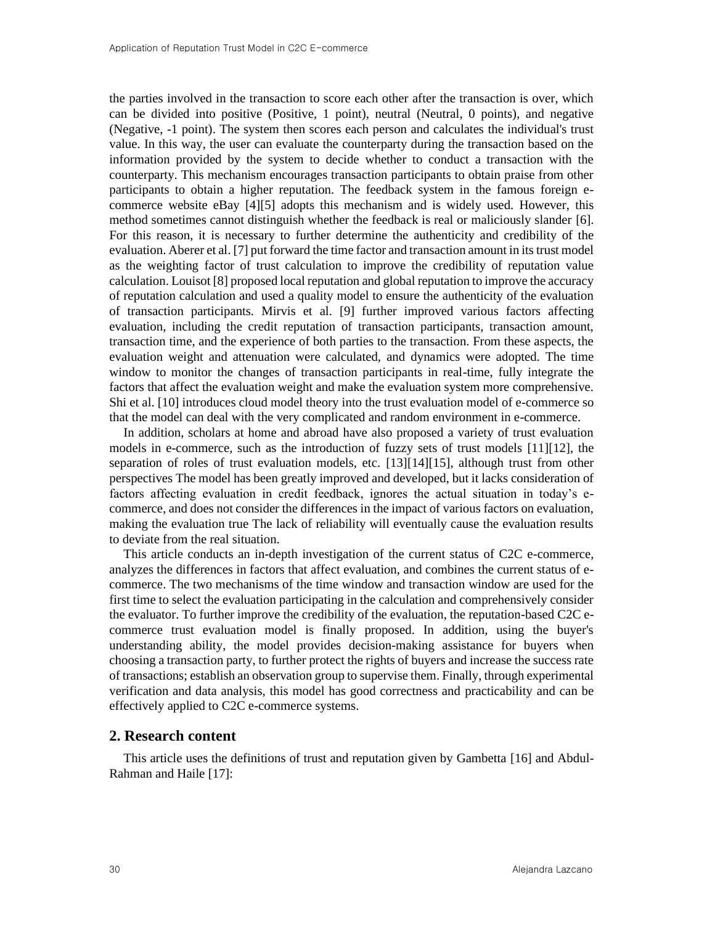the parties involved in the transaction to score each other after the transaction is over, which can be divided into positive (Positive, 1 point), neutral (Neutral, 0 points), and negative (Negative, -1 point). The system then scores each person and calculates the individual's trust value. In this way, the user can evaluate the counterparty during the transaction based on the information provided by the system to decide whether to conduct a transaction with the counterparty. This mechanism encourages transaction participants to obtain praise from other participants to obtain a higher reputation. The feedback system in the famous foreign ecommerce website eBay [\[4\]](#page-9-3)[\[5\]](#page-9-4) adopts this mechanism and is widely used. However, this method sometimes cannot distinguish whether the feedback is real or maliciously slander [\[6\].](#page-9-5) For this reason, it is necessary to further determine the authenticity and credibility of the evaluation. Aberer et al. [\[7\]](#page-9-6) put forward the time factor and transaction amount in its trust model as the weighting factor of trust calculation to improve the credibility of reputation value calculation. Louisot [\[8\]](#page-9-7) proposed local reputation and global reputation to improve the accuracy of reputation calculation and used a quality model to ensure the authenticity of the evaluation of transaction participants. Mirvis et al. [\[9\]](#page-9-8) further improved various factors affecting evaluation, including the credit reputation of transaction participants, transaction amount, transaction time, and the experience of both parties to the transaction. From these aspects, the evaluation weight and attenuation were calculated, and dynamics were adopted. The time window to monitor the changes of transaction participants in real-time, fully integrate the factors that affect the evaluation weight and make the evaluation system more comprehensive. Shi et al. [\[10\]](#page-9-9) introduces cloud model theory into the trust evaluation model of e-commerce so that the model can deal with the very complicated and random environment in e-commerce.

In addition, scholars at home and abroad have also proposed a variety of trust evaluation models in e-commerce, such as the introduction of fuzzy sets of trust models [\[11\]](#page-9-10)[\[12\],](#page-9-11) the separation of roles of trust evaluation models, etc. [\[13\]](#page-9-12)[\[14\]](#page-9-13)[\[15\],](#page-9-14) although trust from other perspectives The model has been greatly improved and developed, but it lacks consideration of factors affecting evaluation in credit feedback, ignores the actual situation in today's ecommerce, and does not consider the differences in the impact of various factors on evaluation, making the evaluation true The lack of reliability will eventually cause the evaluation results to deviate from the real situation.

This article conducts an in-depth investigation of the current status of C2C e-commerce, analyzes the differences in factors that affect evaluation, and combines the current status of ecommerce. The two mechanisms of the time window and transaction window are used for the first time to select the evaluation participating in the calculation and comprehensively consider the evaluator. To further improve the credibility of the evaluation, the reputation-based C2C ecommerce trust evaluation model is finally proposed. In addition, using the buyer's understanding ability, the model provides decision-making assistance for buyers when choosing a transaction party, to further protect the rights of buyers and increase the success rate of transactions; establish an observation group to supervise them. Finally, through experimental verification and data analysis, this model has good correctness and practicability and can be effectively applied to C2C e-commerce systems.

#### **2. Research content**

This article uses the definitions of trust and reputation given by Gambetta [\[16\]](#page-9-15) and Abdul-Rahman and Haile [\[17\]:](#page-9-16)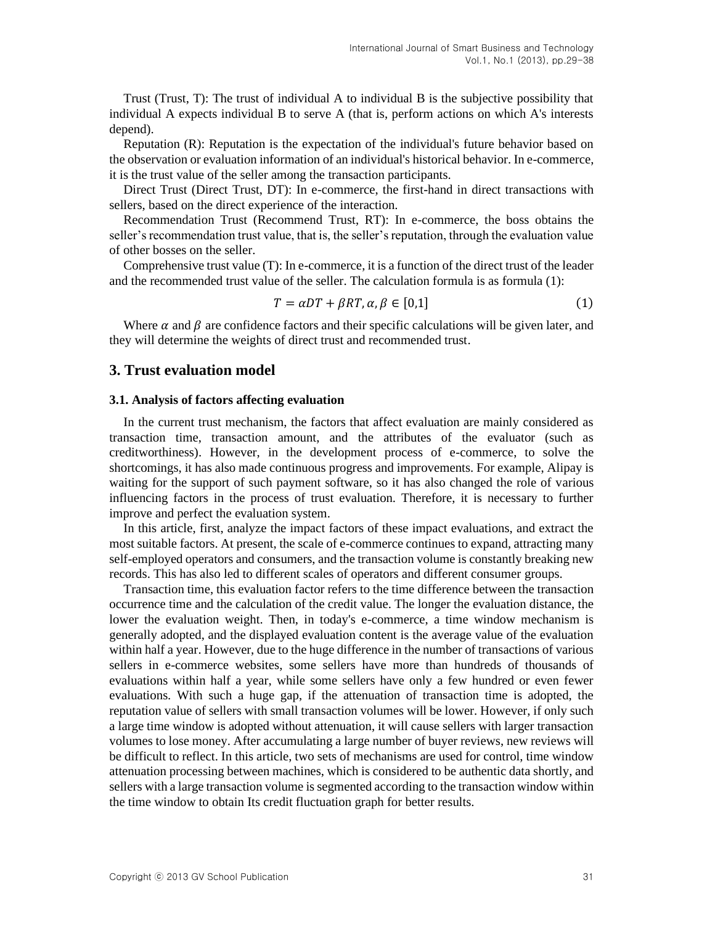Trust (Trust, T): The trust of individual A to individual B is the subjective possibility that individual A expects individual B to serve A (that is, perform actions on which A's interests depend).

Reputation (R): Reputation is the expectation of the individual's future behavior based on the observation or evaluation information of an individual's historical behavior. In e-commerce, it is the trust value of the seller among the transaction participants.

Direct Trust (Direct Trust, DT): In e-commerce, the first-hand in direct transactions with sellers, based on the direct experience of the interaction.

Recommendation Trust (Recommend Trust, RT): In e-commerce, the boss obtains the seller's recommendation trust value, that is, the seller's reputation, through the evaluation value of other bosses on the seller.

Comprehensive trust value (T): In e-commerce, it is a function of the direct trust of the leader and the recommended trust value of the seller. The calculation formula is as formula (1):

$$
T = \alpha DT + \beta RT, \alpha, \beta \in [0,1]
$$
\n<sup>(1)</sup>

Where  $\alpha$  and  $\beta$  are confidence factors and their specific calculations will be given later, and they will determine the weights of direct trust and recommended trust.

## **3. Trust evaluation model**

#### **3.1. Analysis of factors affecting evaluation**

In the current trust mechanism, the factors that affect evaluation are mainly considered as transaction time, transaction amount, and the attributes of the evaluator (such as creditworthiness). However, in the development process of e-commerce, to solve the shortcomings, it has also made continuous progress and improvements. For example, Alipay is waiting for the support of such payment software, so it has also changed the role of various influencing factors in the process of trust evaluation. Therefore, it is necessary to further improve and perfect the evaluation system.

In this article, first, analyze the impact factors of these impact evaluations, and extract the most suitable factors. At present, the scale of e-commerce continues to expand, attracting many self-employed operators and consumers, and the transaction volume is constantly breaking new records. This has also led to different scales of operators and different consumer groups.

Transaction time, this evaluation factor refers to the time difference between the transaction occurrence time and the calculation of the credit value. The longer the evaluation distance, the lower the evaluation weight. Then, in today's e-commerce, a time window mechanism is generally adopted, and the displayed evaluation content is the average value of the evaluation within half a year. However, due to the huge difference in the number of transactions of various sellers in e-commerce websites, some sellers have more than hundreds of thousands of evaluations within half a year, while some sellers have only a few hundred or even fewer evaluations. With such a huge gap, if the attenuation of transaction time is adopted, the reputation value of sellers with small transaction volumes will be lower. However, if only such a large time window is adopted without attenuation, it will cause sellers with larger transaction volumes to lose money. After accumulating a large number of buyer reviews, new reviews will be difficult to reflect. In this article, two sets of mechanisms are used for control, time window attenuation processing between machines, which is considered to be authentic data shortly, and sellers with a large transaction volume is segmented according to the transaction window within the time window to obtain Its credit fluctuation graph for better results.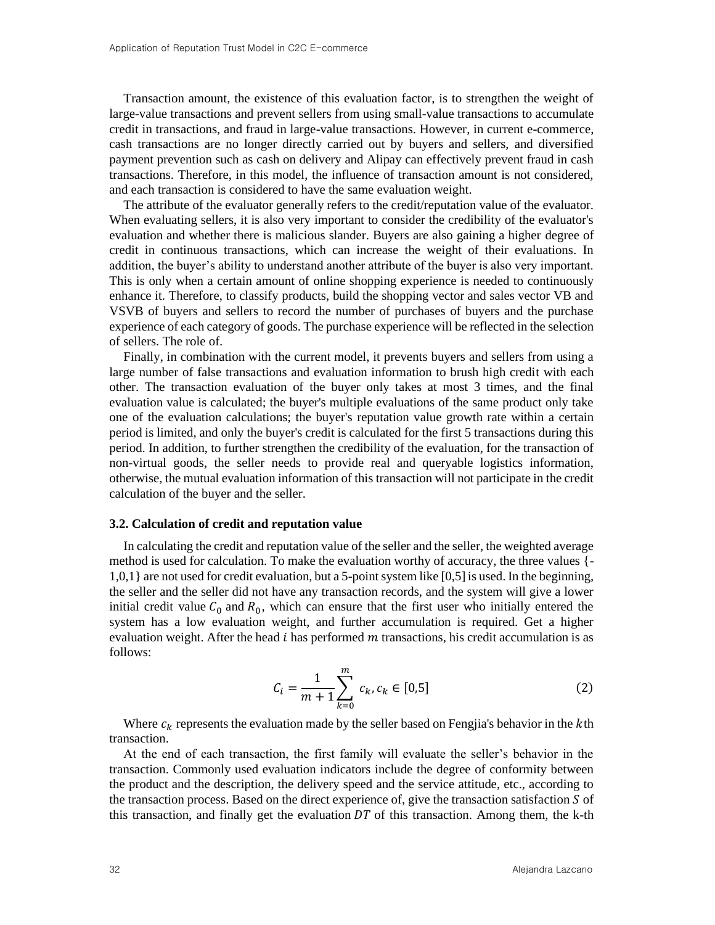Transaction amount, the existence of this evaluation factor, is to strengthen the weight of large-value transactions and prevent sellers from using small-value transactions to accumulate credit in transactions, and fraud in large-value transactions. However, in current e-commerce, cash transactions are no longer directly carried out by buyers and sellers, and diversified payment prevention such as cash on delivery and Alipay can effectively prevent fraud in cash transactions. Therefore, in this model, the influence of transaction amount is not considered, and each transaction is considered to have the same evaluation weight.

The attribute of the evaluator generally refers to the credit/reputation value of the evaluator. When evaluating sellers, it is also very important to consider the credibility of the evaluator's evaluation and whether there is malicious slander. Buyers are also gaining a higher degree of credit in continuous transactions, which can increase the weight of their evaluations. In addition, the buyer's ability to understand another attribute of the buyer is also very important. This is only when a certain amount of online shopping experience is needed to continuously enhance it. Therefore, to classify products, build the shopping vector and sales vector VB and VSVB of buyers and sellers to record the number of purchases of buyers and the purchase experience of each category of goods. The purchase experience will be reflected in the selection of sellers. The role of.

Finally, in combination with the current model, it prevents buyers and sellers from using a large number of false transactions and evaluation information to brush high credit with each other. The transaction evaluation of the buyer only takes at most 3 times, and the final evaluation value is calculated; the buyer's multiple evaluations of the same product only take one of the evaluation calculations; the buyer's reputation value growth rate within a certain period is limited, and only the buyer's credit is calculated for the first 5 transactions during this period. In addition, to further strengthen the credibility of the evaluation, for the transaction of non-virtual goods, the seller needs to provide real and queryable logistics information, otherwise, the mutual evaluation information of this transaction will not participate in the credit calculation of the buyer and the seller.

#### **3.2. Calculation of credit and reputation value**

In calculating the credit and reputation value of the seller and the seller, the weighted average method is used for calculation. To make the evaluation worthy of accuracy, the three values {- 1,0,1} are not used for credit evaluation, but a 5-point system like [0,5] is used. In the beginning, the seller and the seller did not have any transaction records, and the system will give a lower initial credit value  $C_0$  and  $R_0$ , which can ensure that the first user who initially entered the system has a low evaluation weight, and further accumulation is required. Get a higher evaluation weight. After the head  $i$  has performed  $m$  transactions, his credit accumulation is as follows:

$$
C_i = \frac{1}{m+1} \sum_{k=0}^{m} c_k, c_k \in [0,5]
$$
 (2)

Where  $c_k$  represents the evaluation made by the seller based on Fengjia's behavior in the  $k$ th transaction.

At the end of each transaction, the first family will evaluate the seller's behavior in the transaction. Commonly used evaluation indicators include the degree of conformity between the product and the description, the delivery speed and the service attitude, etc., according to the transaction process. Based on the direct experience of, give the transaction satisfaction  $S$  of this transaction, and finally get the evaluation  $DT$  of this transaction. Among them, the k-th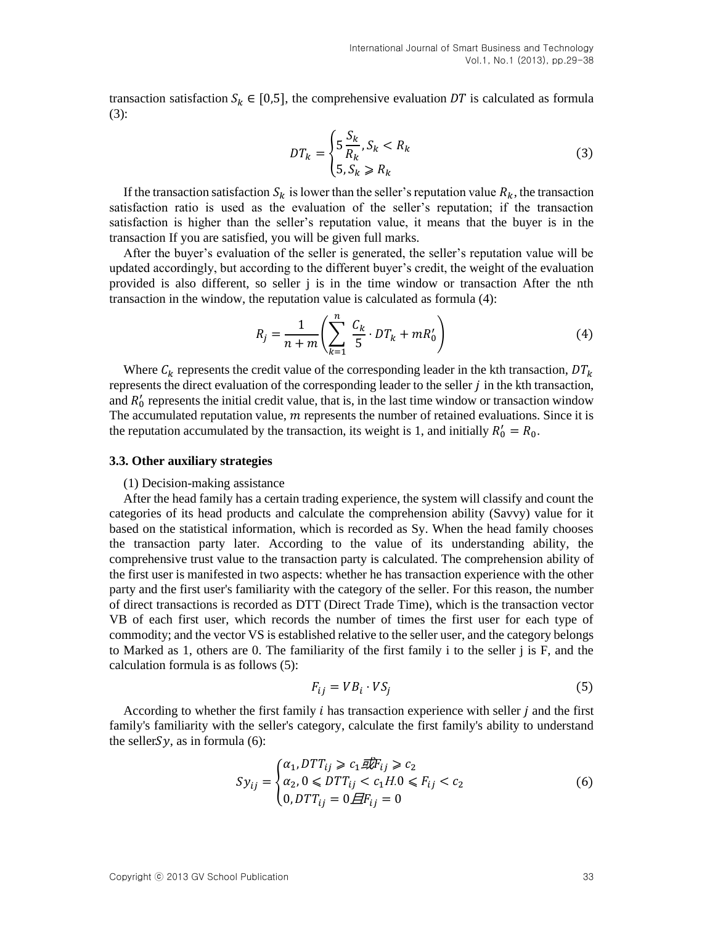transaction satisfaction  $S_k \in [0,5]$ , the comprehensive evaluation DT is calculated as formula (3):

$$
DT_k = \begin{cases} 5\frac{S_k}{R_k}, S_k < R_k\\ 5, S_k \ge R_k \end{cases} \tag{3}
$$

If the transaction satisfaction  $S_k$  is lower than the seller's reputation value  $R_k$ , the transaction satisfaction ratio is used as the evaluation of the seller's reputation; if the transaction satisfaction is higher than the seller's reputation value, it means that the buyer is in the transaction If you are satisfied, you will be given full marks.

After the buyer's evaluation of the seller is generated, the seller's reputation value will be updated accordingly, but according to the different buyer's credit, the weight of the evaluation provided is also different, so seller j is in the time window or transaction After the nth transaction in the window, the reputation value is calculated as formula (4):

$$
R_{j} = \frac{1}{n+m} \left( \sum_{k=1}^{n} \frac{C_{k}}{5} \cdot DT_{k} + mR_{0}' \right)
$$
 (4)

Where  $C_k$  represents the credit value of the corresponding leader in the kth transaction,  $DT_k$ represents the direct evaluation of the corresponding leader to the seller  $j$  in the kth transaction, and  $R'_0$  represents the initial credit value, that is, in the last time window or transaction window The accumulated reputation value,  $m$  represents the number of retained evaluations. Since it is the reputation accumulated by the transaction, its weight is 1, and initially  $R'_0 = R_0$ .

#### **3.3. Other auxiliary strategies**

#### (1) Decision-making assistance

After the head family has a certain trading experience, the system will classify and count the categories of its head products and calculate the comprehension ability (Savvy) value for it based on the statistical information, which is recorded as Sy. When the head family chooses the transaction party later. According to the value of its understanding ability, the comprehensive trust value to the transaction party is calculated. The comprehension ability of the first user is manifested in two aspects: whether he has transaction experience with the other party and the first user's familiarity with the category of the seller. For this reason, the number of direct transactions is recorded as DTT (Direct Trade Time), which is the transaction vector VB of each first user, which records the number of times the first user for each type of commodity; and the vector VS is established relative to the seller user, and the category belongs to Marked as 1, others are 0. The familiarity of the first family i to the seller j is F, and the calculation formula is as follows (5):

$$
F_{ij} = V B_i \cdot V S_j \tag{5}
$$

According to whether the first family  $i$  has transaction experience with seller  $j$  and the first family's familiarity with the seller's category, calculate the first family's ability to understand the seller $Sy$ , as in formula (6):

$$
Sy_{ij} = \begin{cases} \alpha_1, DTT_{ij} \ge c_1 \overline{g}F_{ij} \ge c_2\\ \alpha_2, 0 \le DTT_{ij} < c_1H.0 \le F_{ij} < c_2\\ 0, DTT_{ij} = 0 \overline{H}F_{ij} = 0 \end{cases} \tag{6}
$$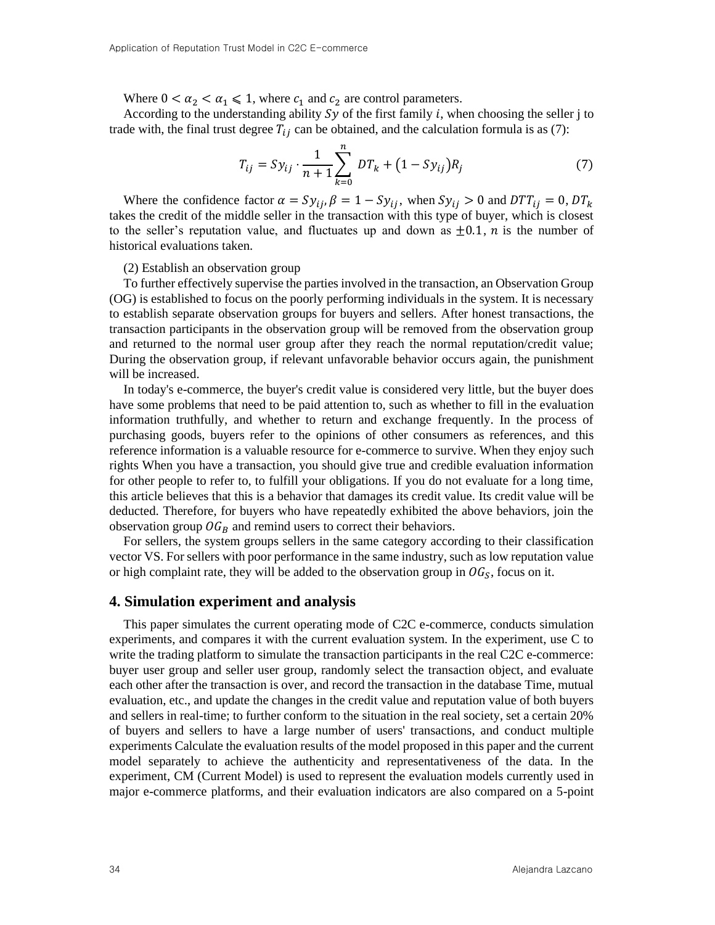Where  $0 < \alpha_2 < \alpha_1 \leq 1$ , where  $c_1$  and  $c_2$  are control parameters.

According to the understanding ability  $Sy$  of the first family i, when choosing the seller j to trade with, the final trust degree  $T_{ij}$  can be obtained, and the calculation formula is as (7):

$$
T_{ij} = Sy_{ij} \cdot \frac{1}{n+1} \sum_{k=0}^{n} DT_k + (1 - Sy_{ij})R_j \tag{7}
$$

Where the confidence factor  $\alpha = Sy_{ij}$ ,  $\beta = 1 - Sy_{ij}$ , when  $Sy_{ij} > 0$  and  $DTT_{ij} = 0$ ,  $DT_k$ takes the credit of the middle seller in the transaction with this type of buyer, which is closest to the seller's reputation value, and fluctuates up and down as  $\pm 0.1$ , *n* is the number of historical evaluations taken.

### (2) Establish an observation group

To further effectively supervise the parties involved in the transaction, an Observation Group (OG) is established to focus on the poorly performing individuals in the system. It is necessary to establish separate observation groups for buyers and sellers. After honest transactions, the transaction participants in the observation group will be removed from the observation group and returned to the normal user group after they reach the normal reputation/credit value; During the observation group, if relevant unfavorable behavior occurs again, the punishment will be increased.

In today's e-commerce, the buyer's credit value is considered very little, but the buyer does have some problems that need to be paid attention to, such as whether to fill in the evaluation information truthfully, and whether to return and exchange frequently. In the process of purchasing goods, buyers refer to the opinions of other consumers as references, and this reference information is a valuable resource for e-commerce to survive. When they enjoy such rights When you have a transaction, you should give true and credible evaluation information for other people to refer to, to fulfill your obligations. If you do not evaluate for a long time, this article believes that this is a behavior that damages its credit value. Its credit value will be deducted. Therefore, for buyers who have repeatedly exhibited the above behaviors, join the observation group  $\mathcal{O}G_B$  and remind users to correct their behaviors.

For sellers, the system groups sellers in the same category according to their classification vector VS. For sellers with poor performance in the same industry, such as low reputation value or high complaint rate, they will be added to the observation group in  $OG_S$ , focus on it.

#### **4. Simulation experiment and analysis**

This paper simulates the current operating mode of C2C e-commerce, conducts simulation experiments, and compares it with the current evaluation system. In the experiment, use C to write the trading platform to simulate the transaction participants in the real C2C e-commerce: buyer user group and seller user group, randomly select the transaction object, and evaluate each other after the transaction is over, and record the transaction in the database Time, mutual evaluation, etc., and update the changes in the credit value and reputation value of both buyers and sellers in real-time; to further conform to the situation in the real society, set a certain 20% of buyers and sellers to have a large number of users' transactions, and conduct multiple experiments Calculate the evaluation results of the model proposed in this paper and the current model separately to achieve the authenticity and representativeness of the data. In the experiment, CM (Current Model) is used to represent the evaluation models currently used in major e-commerce platforms, and their evaluation indicators are also compared on a 5-point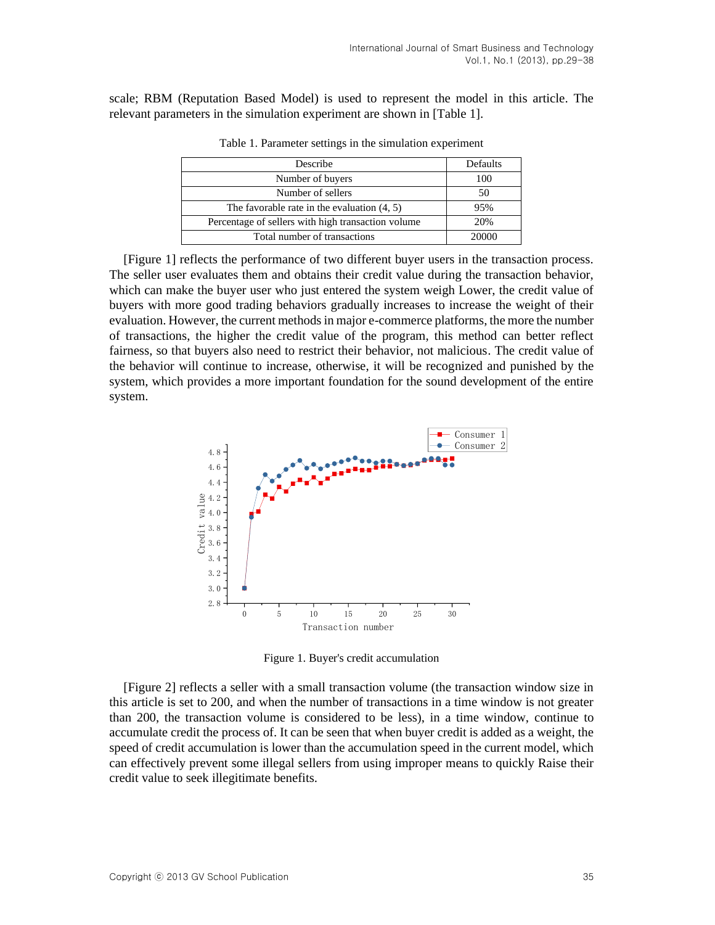scale; RBM (Reputation Based Model) is used to represent the model in this article. The relevant parameters in the simulation experiment are shown in [Table 1].

| Describe                                           | Defaults |
|----------------------------------------------------|----------|
| Number of buyers                                   | 100      |
| Number of sellers                                  | 50       |
| The favorable rate in the evaluation $(4, 5)$      | 95%      |
| Percentage of sellers with high transaction volume | 20%      |
| Total number of transactions                       | 20000    |

Table 1. Parameter settings in the simulation experiment

[Figure 1] reflects the performance of two different buyer users in the transaction process. The seller user evaluates them and obtains their credit value during the transaction behavior, which can make the buyer user who just entered the system weigh Lower, the credit value of buyers with more good trading behaviors gradually increases to increase the weight of their evaluation. However, the current methods in major e-commerce platforms, the more the number of transactions, the higher the credit value of the program, this method can better reflect fairness, so that buyers also need to restrict their behavior, not malicious. The credit value of the behavior will continue to increase, otherwise, it will be recognized and punished by the system, which provides a more important foundation for the sound development of the entire system.



Figure 1. Buyer's credit accumulation

[Figure 2] reflects a seller with a small transaction volume (the transaction window size in this article is set to 200, and when the number of transactions in a time window is not greater than 200, the transaction volume is considered to be less), in a time window, continue to accumulate credit the process of. It can be seen that when buyer credit is added as a weight, the speed of credit accumulation is lower than the accumulation speed in the current model, which can effectively prevent some illegal sellers from using improper means to quickly Raise their credit value to seek illegitimate benefits.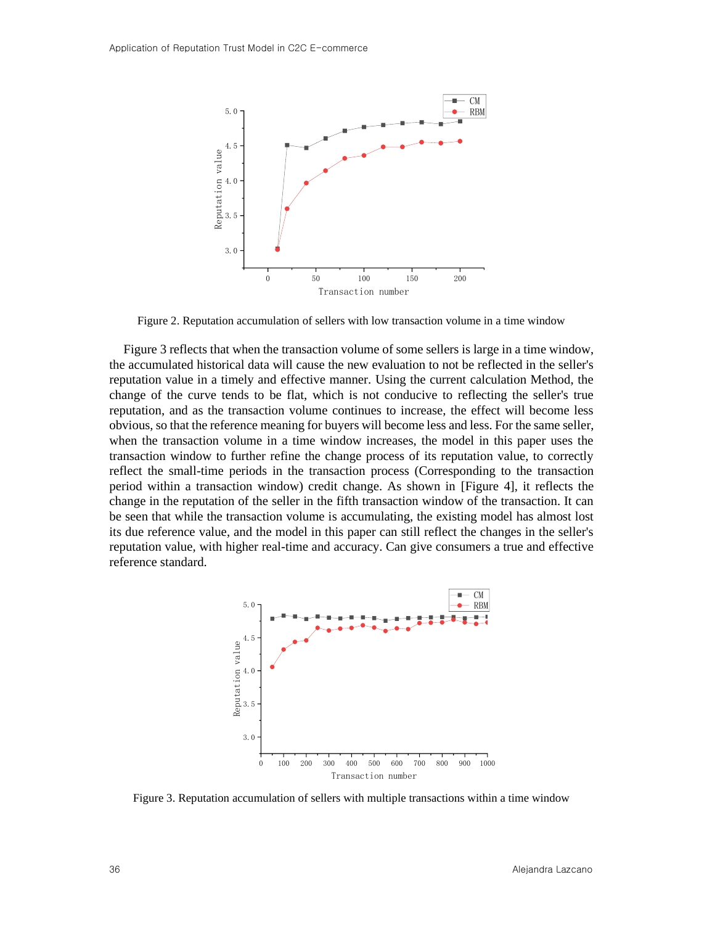

Figure 2. Reputation accumulation of sellers with low transaction volume in a time window

Figure 3 reflects that when the transaction volume of some sellers is large in a time window, the accumulated historical data will cause the new evaluation to not be reflected in the seller's reputation value in a timely and effective manner. Using the current calculation Method, the change of the curve tends to be flat, which is not conducive to reflecting the seller's true reputation, and as the transaction volume continues to increase, the effect will become less obvious, so that the reference meaning for buyers will become less and less. For the same seller, when the transaction volume in a time window increases, the model in this paper uses the transaction window to further refine the change process of its reputation value, to correctly reflect the small-time periods in the transaction process (Corresponding to the transaction period within a transaction window) credit change. As shown in [Figure 4], it reflects the change in the reputation of the seller in the fifth transaction window of the transaction. It can be seen that while the transaction volume is accumulating, the existing model has almost lost its due reference value, and the model in this paper can still reflect the changes in the seller's reputation value, with higher real-time and accuracy. Can give consumers a true and effective reference standard.



Figure 3. Reputation accumulation of sellers with multiple transactions within a time window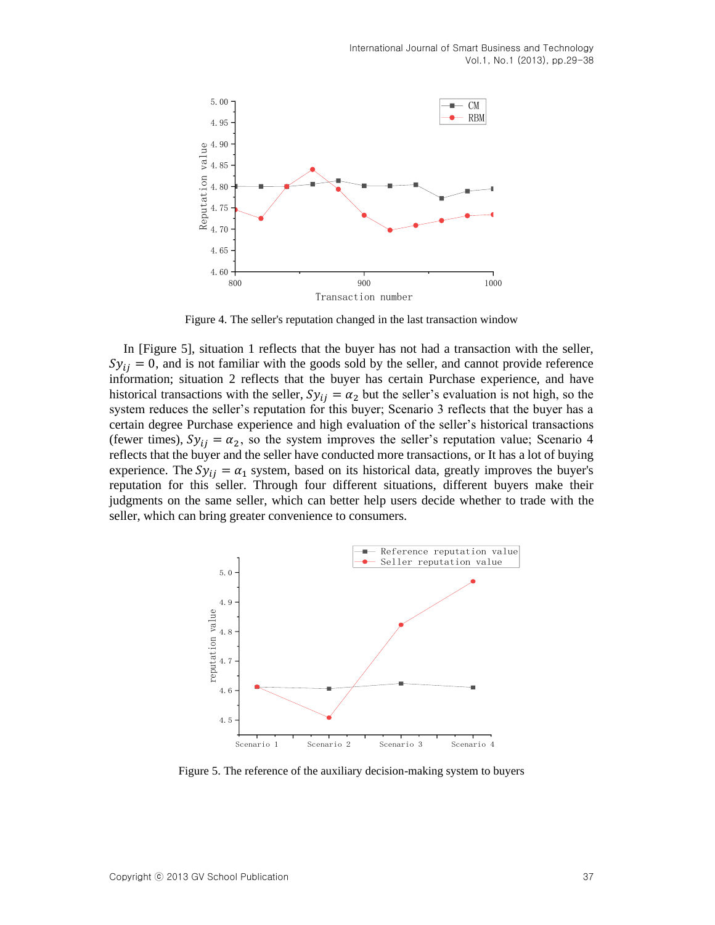International Journal of Smart Business and Technology Vol.1, No.1 (2013), pp.29-38



Figure 4. The seller's reputation changed in the last transaction window

In [Figure 5], situation 1 reflects that the buyer has not had a transaction with the seller,  $Sy_{ii} = 0$ , and is not familiar with the goods sold by the seller, and cannot provide reference information; situation 2 reflects that the buyer has certain Purchase experience, and have historical transactions with the seller,  $Sy_{ij} = \alpha_2$  but the seller's evaluation is not high, so the system reduces the seller's reputation for this buyer; Scenario 3 reflects that the buyer has a certain degree Purchase experience and high evaluation of the seller's historical transactions (fewer times),  $Sy_{ij} = \alpha_2$ , so the system improves the seller's reputation value; Scenario 4 reflects that the buyer and the seller have conducted more transactions, or It has a lot of buying experience. The  $Sy_{ij} = \alpha_1$  system, based on its historical data, greatly improves the buyer's reputation for this seller. Through four different situations, different buyers make their judgments on the same seller, which can better help users decide whether to trade with the seller, which can bring greater convenience to consumers.



Figure 5. The reference of the auxiliary decision-making system to buyers